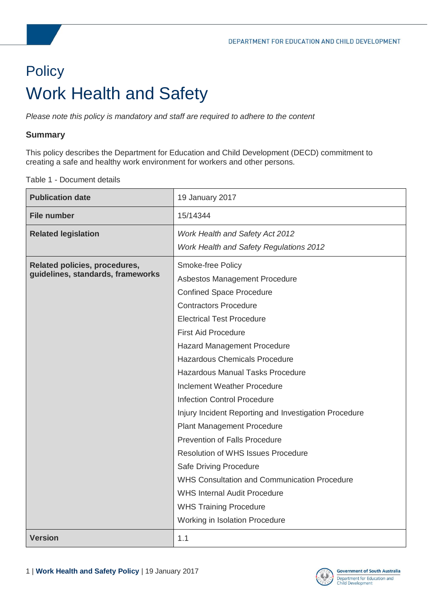# <span id="page-0-1"></span><span id="page-0-0"></span>**Policy** Work Health and Safety

*Please note this policy is mandatory and staff are required to adhere to the content* 

#### **Summary**

This policy describes the Department for Education and Child Development (DECD) commitment to creating a safe and healthy work environment for workers and other persons.

Table 1 - Document details

| <b>Publication date</b>           | 19 January 2017                                       |
|-----------------------------------|-------------------------------------------------------|
| <b>File number</b>                | 15/14344                                              |
| <b>Related legislation</b>        | <b>Work Health and Safety Act 2012</b>                |
|                                   | <b>Work Health and Safety Regulations 2012</b>        |
| Related policies, procedures,     | Smoke-free Policy                                     |
| guidelines, standards, frameworks | Asbestos Management Procedure                         |
|                                   | <b>Confined Space Procedure</b>                       |
|                                   | <b>Contractors Procedure</b>                          |
|                                   | <b>Electrical Test Procedure</b>                      |
|                                   | <b>First Aid Procedure</b>                            |
|                                   | Hazard Management Procedure                           |
|                                   | <b>Hazardous Chemicals Procedure</b>                  |
|                                   | <b>Hazardous Manual Tasks Procedure</b>               |
|                                   | Inclement Weather Procedure                           |
|                                   | <b>Infection Control Procedure</b>                    |
|                                   | Injury Incident Reporting and Investigation Procedure |
|                                   | <b>Plant Management Procedure</b>                     |
|                                   | Prevention of Falls Procedure                         |
|                                   | <b>Resolution of WHS Issues Procedure</b>             |
|                                   | Safe Driving Procedure                                |
|                                   | <b>WHS Consultation and Communication Procedure</b>   |
|                                   | <b>WHS Internal Audit Procedure</b>                   |
|                                   | <b>WHS Training Procedure</b>                         |
|                                   | Working in Isolation Procedure                        |
| <b>Version</b>                    | 1.1                                                   |

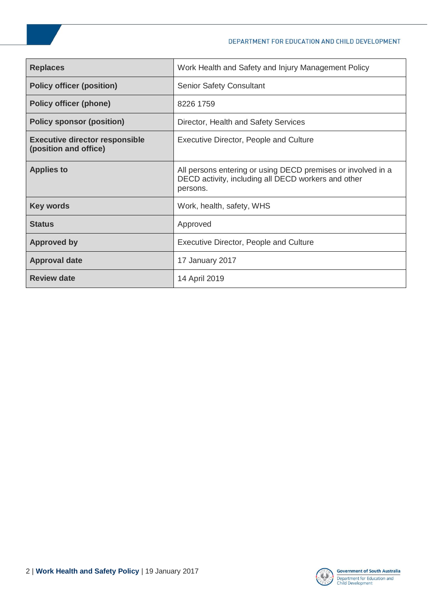| <b>Replaces</b>                                                | Work Health and Safety and Injury Management Policy                                                                             |
|----------------------------------------------------------------|---------------------------------------------------------------------------------------------------------------------------------|
| <b>Policy officer (position)</b>                               | <b>Senior Safety Consultant</b>                                                                                                 |
| <b>Policy officer (phone)</b>                                  | 8226 1759                                                                                                                       |
| <b>Policy sponsor (position)</b>                               | Director, Health and Safety Services                                                                                            |
| <b>Executive director responsible</b><br>(position and office) | Executive Director, People and Culture                                                                                          |
| <b>Applies to</b>                                              | All persons entering or using DECD premises or involved in a<br>DECD activity, including all DECD workers and other<br>persons. |
| <b>Key words</b>                                               | Work, health, safety, WHS                                                                                                       |
| <b>Status</b>                                                  | Approved                                                                                                                        |
| <b>Approved by</b>                                             | <b>Executive Director, People and Culture</b>                                                                                   |
| <b>Approval date</b>                                           | 17 January 2017                                                                                                                 |
| <b>Review date</b>                                             | 14 April 2019                                                                                                                   |

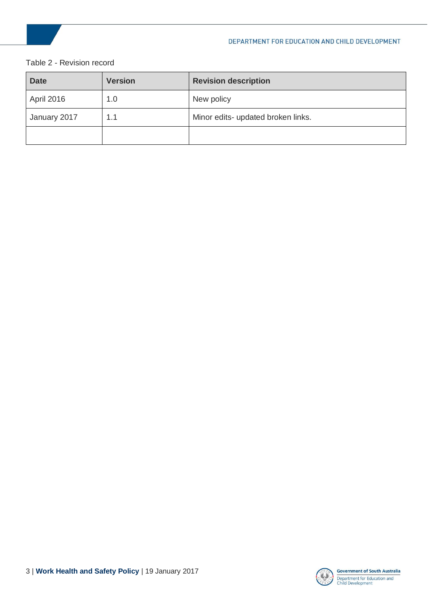#### Table 2 - Revision record

| <b>Date</b>  | <b>Version</b> | <b>Revision description</b>        |
|--------------|----------------|------------------------------------|
| April 2016   | 1.0            | New policy                         |
| January 2017 | 1.1            | Minor edits- updated broken links. |
|              |                |                                    |

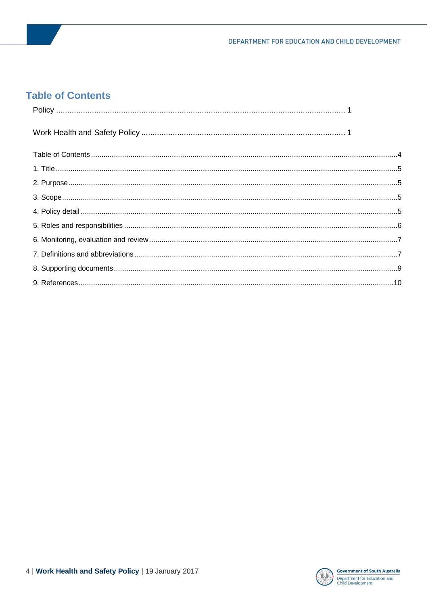#### <span id="page-3-0"></span>**Table of Contents**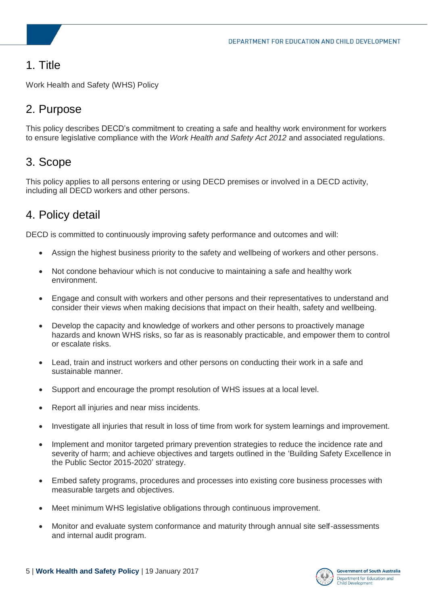# <span id="page-4-0"></span>1. Title

Work Health and Safety (WHS) Policy

# <span id="page-4-1"></span>2. Purpose

This policy describes DECD's commitment to creating a safe and healthy work environment for workers to ensure legislative compliance with the *Work Health and Safety Act 2012* and associated regulations.

#### <span id="page-4-2"></span>3. Scope

This policy applies to all persons entering or using DECD premises or involved in a DECD activity, including all DECD workers and other persons.

### <span id="page-4-3"></span>4. Policy detail

DECD is committed to continuously improving safety performance and outcomes and will:

- Assign the highest business priority to the safety and wellbeing of workers and other persons.
- Not condone behaviour which is not conducive to maintaining a safe and healthy work environment.
- Engage and consult with workers and other persons and their representatives to understand and consider their views when making decisions that impact on their health, safety and wellbeing.
- Develop the capacity and knowledge of workers and other persons to proactively manage hazards and known WHS risks, so far as is reasonably practicable, and empower them to control or escalate risks.
- Lead, train and instruct workers and other persons on conducting their work in a safe and sustainable manner.
- Support and encourage the prompt resolution of WHS issues at a local level.
- Report all injuries and near miss incidents.
- Investigate all injuries that result in loss of time from work for system learnings and improvement.
- Implement and monitor targeted primary prevention strategies to reduce the incidence rate and severity of harm; and achieve objectives and targets outlined in the 'Building Safety Excellence in the Public Sector 2015-2020' strategy.
- Embed safety programs, procedures and processes into existing core business processes with measurable targets and objectives.
- Meet minimum WHS legislative obligations through continuous improvement.
- Monitor and evaluate system conformance and maturity through annual site self-assessments and internal audit program.

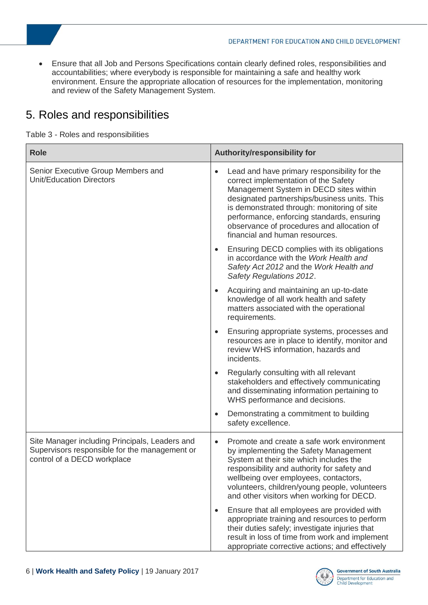Ensure that all Job and Persons Specifications contain clearly defined roles, responsibilities and accountabilities; where everybody is responsible for maintaining a safe and healthy work environment. Ensure the appropriate allocation of resources for the implementation, monitoring and review of the Safety Management System.

# <span id="page-5-0"></span>5. Roles and responsibilities

Table 3 - Roles and responsibilities

| <b>Role</b>                                                                                                                    | Authority/responsibility for                                                                                                                                                                                                                                                                                                                                             |
|--------------------------------------------------------------------------------------------------------------------------------|--------------------------------------------------------------------------------------------------------------------------------------------------------------------------------------------------------------------------------------------------------------------------------------------------------------------------------------------------------------------------|
| Senior Executive Group Members and<br><b>Unit/Education Directors</b>                                                          | Lead and have primary responsibility for the<br>$\bullet$<br>correct implementation of the Safety<br>Management System in DECD sites within<br>designated partnerships/business units. This<br>is demonstrated through: monitoring of site<br>performance, enforcing standards, ensuring<br>observance of procedures and allocation of<br>financial and human resources. |
|                                                                                                                                | Ensuring DECD complies with its obligations<br>$\bullet$<br>in accordance with the Work Health and<br>Safety Act 2012 and the Work Health and<br>Safety Regulations 2012.                                                                                                                                                                                                |
|                                                                                                                                | Acquiring and maintaining an up-to-date<br>$\bullet$<br>knowledge of all work health and safety<br>matters associated with the operational<br>requirements.                                                                                                                                                                                                              |
|                                                                                                                                | Ensuring appropriate systems, processes and<br>$\bullet$<br>resources are in place to identify, monitor and<br>review WHS information, hazards and<br>incidents.                                                                                                                                                                                                         |
|                                                                                                                                | Regularly consulting with all relevant<br>$\bullet$<br>stakeholders and effectively communicating<br>and disseminating information pertaining to<br>WHS performance and decisions.                                                                                                                                                                                       |
|                                                                                                                                | Demonstrating a commitment to building<br>$\bullet$<br>safety excellence.                                                                                                                                                                                                                                                                                                |
| Site Manager including Principals, Leaders and<br>Supervisors responsible for the management or<br>control of a DECD workplace | Promote and create a safe work environment<br>$\bullet$<br>by implementing the Safety Management<br>System at their site which includes the<br>responsibility and authority for safety and<br>wellbeing over employees, contactors,<br>volunteers, children/young people, volunteers<br>and other visitors when working for DECD.                                        |
|                                                                                                                                | Ensure that all employees are provided with<br>$\bullet$<br>appropriate training and resources to perform<br>their duties safely; investigate injuries that<br>result in loss of time from work and implement<br>appropriate corrective actions; and effectively                                                                                                         |

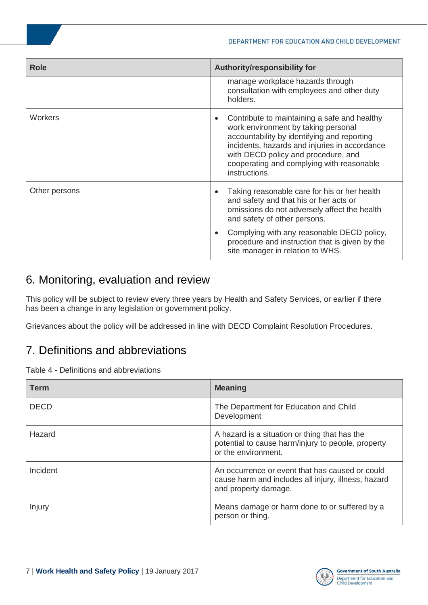| <b>Role</b>   | Authority/responsibility for                                                                                                                                                                                                                                                                          |
|---------------|-------------------------------------------------------------------------------------------------------------------------------------------------------------------------------------------------------------------------------------------------------------------------------------------------------|
|               | manage workplace hazards through<br>consultation with employees and other duty<br>holders.                                                                                                                                                                                                            |
| Workers       | Contribute to maintaining a safe and healthy<br>$\bullet$<br>work environment by taking personal<br>accountability by identifying and reporting<br>incidents, hazards and injuries in accordance<br>with DECD policy and procedure, and<br>cooperating and complying with reasonable<br>instructions. |
| Other persons | Taking reasonable care for his or her health<br>$\bullet$<br>and safety and that his or her acts or<br>omissions do not adversely affect the health<br>and safety of other persons.                                                                                                                   |
|               | Complying with any reasonable DECD policy,<br>$\bullet$<br>procedure and instruction that is given by the<br>site manager in relation to WHS.                                                                                                                                                         |

### <span id="page-6-0"></span>6. Monitoring, evaluation and review

This policy will be subject to review every three years by Health and Safety Services, or earlier if there has been a change in any legislation or government policy.

Grievances about the policy will be addressed in line with DECD Complaint Resolution Procedures.

# <span id="page-6-1"></span>7. Definitions and abbreviations

Table 4 - Definitions and abbreviations

| <b>Term</b> | <b>Meaning</b>                                                                                                                 |
|-------------|--------------------------------------------------------------------------------------------------------------------------------|
| <b>DECD</b> | The Department for Education and Child<br>Development                                                                          |
| Hazard      | A hazard is a situation or thing that has the<br>potential to cause harm/injury to people, property<br>or the environment.     |
| Incident    | An occurrence or event that has caused or could<br>cause harm and includes all injury, illness, hazard<br>and property damage. |
| Injury      | Means damage or harm done to or suffered by a<br>person or thing.                                                              |

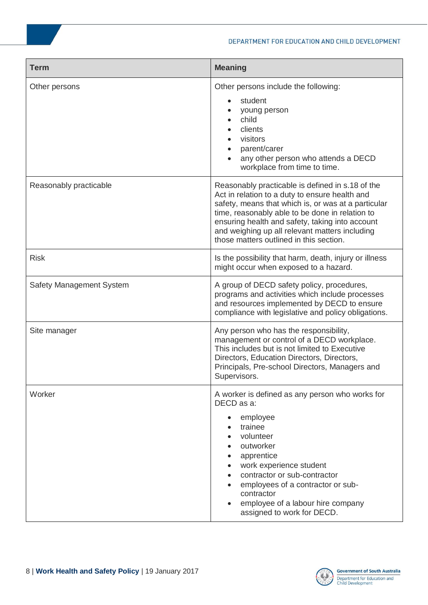| <b>Term</b>              | <b>Meaning</b>                                                                                                                                                                                                                                                                                                                                               |
|--------------------------|--------------------------------------------------------------------------------------------------------------------------------------------------------------------------------------------------------------------------------------------------------------------------------------------------------------------------------------------------------------|
| Other persons            | Other persons include the following:<br>student<br>young person<br>child<br>clients<br>visitors<br>parent/carer<br>any other person who attends a DECD<br>workplace from time to time.                                                                                                                                                                       |
| Reasonably practicable   | Reasonably practicable is defined in s.18 of the<br>Act in relation to a duty to ensure health and<br>safety, means that which is, or was at a particular<br>time, reasonably able to be done in relation to<br>ensuring health and safety, taking into account<br>and weighing up all relevant matters including<br>those matters outlined in this section. |
| <b>Risk</b>              | Is the possibility that harm, death, injury or illness<br>might occur when exposed to a hazard.                                                                                                                                                                                                                                                              |
| Safety Management System | A group of DECD safety policy, procedures,<br>programs and activities which include processes<br>and resources implemented by DECD to ensure<br>compliance with legislative and policy obligations.                                                                                                                                                          |
| Site manager             | Any person who has the responsibility,<br>management or control of a DECD workplace.<br>This includes but is not limited to Executive<br>Directors, Education Directors, Directors,<br>Principals, Pre-school Directors, Managers and<br>Supervisors.                                                                                                        |
| Worker                   | A worker is defined as any person who works for<br>DECD as a:<br>employee<br>trainee<br>volunteer<br>outworker<br>apprentice<br>work experience student<br>contractor or sub-contractor<br>employees of a contractor or sub-<br>contractor<br>employee of a labour hire company<br>assigned to work for DECD.                                                |

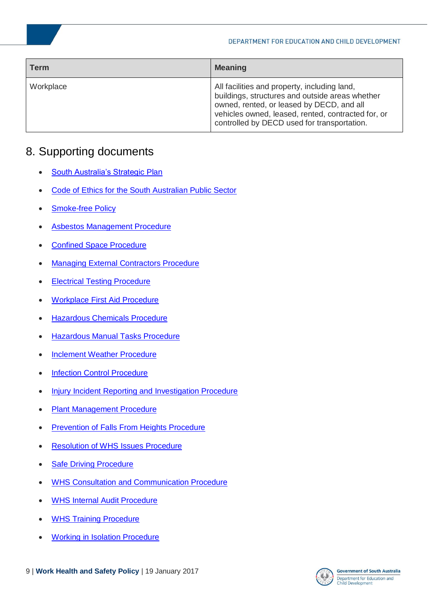| <b>Term</b> | <b>Meaning</b>                                                                                                                                                                                                                                    |
|-------------|---------------------------------------------------------------------------------------------------------------------------------------------------------------------------------------------------------------------------------------------------|
| Workplace   | All facilities and property, including land,<br>buildings, structures and outside areas whether<br>owned, rented, or leased by DECD, and all<br>vehicles owned, leased, rented, contracted for, or<br>controlled by DECD used for transportation. |

#### <span id="page-8-0"></span>8. Supporting documents

- [South Australia's Strategic Plan](http://saplan.org.au/media/BAhbBlsHOgZmSSIhMjAxMS8xMS8wNC8wMV8wMl8xNF8yMjNfZmlsZQY6BkVU/01_02_14_223_file)
- [Code of Ethics for the South Australian Public Sector](http://publicsector.sa.gov.au/policies-standards/code-of-ethics/)
- [Smoke-free Policy](https://myintranet.learnlink.sa.edu.au/library/document-library/controlled-policies/smoke-free-policy.pdf)
- [Asbestos Management Procedure](https://myintranet.learnlink.sa.edu.au/library/document-library/procedure/hr/health-and-safety/hazards/asbestos-management.pdf)
- [Confined Space Procedure](https://myintranet.learnlink.sa.edu.au/library/document-library/procedure/hr/health-and-safety/hazards/confined-space-procedure.pdf)
- [Managing External Contractors Procedure](https://myintranet.learnlink.sa.edu.au/library/document-library/report/hr/working-in-decd/ManagingContractorsProcedure.pdf)
- [Electrical Testing Procedure](https://myintranet.learnlink.sa.edu.au/library/document-library/procedure/hr/health-and-safety/hazards/electrical-testing-procedure.pdf)
- [Workplace First Aid Procedure](https://myintranet.learnlink.sa.edu.au/library/document-library/procedure/hr/health-and-safety/hazards/occupational-first-aid-procedure.pdf)
- [Hazardous Chemicals Procedure](https://myintranet.learnlink.sa.edu.au/library/document-library/procedure/hr/health-and-safety/hazards/hazardous-chemicals.pdf)
- [Hazardous Manual Tasks Procedure](https://myintranet.learnlink.sa.edu.au/library/document-library/procedure/hr/health-and-safety/hazards/Hazardous-manual-task-procedure.pdf)
- [Inclement Weather Procedure](https://myintranet.learnlink.sa.edu.au/library/document-library/procedure/hr/health-and-safety/hazards/inclement-weather-procedure.pdf)
- [Infection Control Procedure](https://myintranet.learnlink.sa.edu.au/library/document-library/procedure/hr/health-and-safety/hazards/infection-control.procedure.pdf)
- [Injury Incident Reporting and Investigation Procedure](https://myintranet.learnlink.sa.edu.au/library/document-library/procedure/hr/health-and-safety/hazards/injury-incident-reporting-and-investigation-procedure.pdf)
- [Plant Management Procedure](https://myintranet.learnlink.sa.edu.au/library/document-library/procedure/hr/health-and-safety/hazards/plant-machinery/plant-management-procedure.pdf)
- **[Prevention of Falls From Heights Procedure](https://myintranet.learnlink.sa.edu.au/library/document-library/procedure/hr/health-and-safety/hazards/managing-the-risk-of-falls-procedure.pdf)**
- [Resolution of WHS Issues Procedure](https://myintranet.learnlink.sa.edu.au/library/document-library/procedure/hr/health-and-safety/hazards/procedure-Resolution-of-WHS-Issues.pdf)
- [Safe Driving Procedure](https://myintranet.learnlink.sa.edu.au/library/document-library/procedure/hr/health-and-safety/hazards/driving-procedure.pdf)
- [WHS Consultation and Communication Procedure](https://myintranet.learnlink.sa.edu.au/library/document-library/controlled-procedures/work-health-and-safety-consultation-and-communication-procedure.pdf)
- [WHS Internal Audit Procedure](https://myintranet.learnlink.sa.edu.au/library/document-library/controlled-procedures/work-health-safety-internal-audit-procedure.pdf)
- [WHS Training Procedure](https://myintranet.learnlink.sa.edu.au/library/document-library/procedure/hr/health-and-safety/health-and-safety-training/whs-training-procedure.pdf)
- [Working in Isolation Procedure](https://myintranet.learnlink.sa.edu.au/library/document-library/procedure/hr/health-and-safety/hazards/working-in-isolation-procedure.pdf)